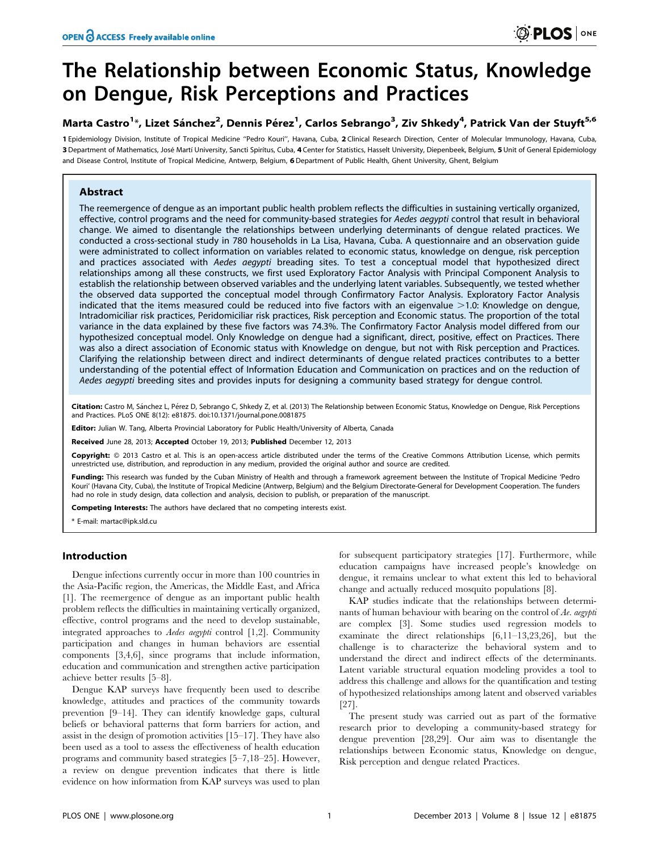# The Relationship between Economic Status, Knowledge on Dengue, Risk Perceptions and Practices

# Marta Castro<sup>1</sup>\*, Lizet Sánchez<sup>2</sup>, Dennis Pérez<sup>1</sup>, Carlos Sebrango<sup>3</sup>, Ziv Shkedy<sup>4</sup>, Patrick Van der Stuyft<sup>5,6</sup>

1 Epidemiology Division, Institute of Tropical Medicine ''Pedro Kouri'', Havana, Cuba, 2 Clinical Research Direction, Center of Molecular Immunology, Havana, Cuba, 3 Department of Mathematics, José Martí University, Sancti Spirítus, Cuba, 4 Center for Statistics, Hasselt University, Diepenbeek, Belgium, 5 Unit of General Epidemiology and Disease Control, Institute of Tropical Medicine, Antwerp, Belgium, 6 Department of Public Health, Ghent University, Ghent, Belgium

# **Abstract**

The reemergence of dengue as an important public health problem reflects the difficulties in sustaining vertically organized, effective, control programs and the need for community-based strategies for Aedes aegypti control that result in behavioral change. We aimed to disentangle the relationships between underlying determinants of dengue related practices. We conducted a cross-sectional study in 780 households in La Lisa, Havana, Cuba. A questionnaire and an observation guide were administrated to collect information on variables related to economic status, knowledge on dengue, risk perception and practices associated with Aedes aegypti breading sites. To test a conceptual model that hypothesized direct relationships among all these constructs, we first used Exploratory Factor Analysis with Principal Component Analysis to establish the relationship between observed variables and the underlying latent variables. Subsequently, we tested whether the observed data supported the conceptual model through Confirmatory Factor Analysis. Exploratory Factor Analysis indicated that the items measured could be reduced into five factors with an eigenvalue  $>1.0$ : Knowledge on dengue, Intradomiciliar risk practices, Peridomiciliar risk practices, Risk perception and Economic status. The proportion of the total variance in the data explained by these five factors was 74.3%. The Confirmatory Factor Analysis model differed from our hypothesized conceptual model. Only Knowledge on dengue had a significant, direct, positive, effect on Practices. There was also a direct association of Economic status with Knowledge on dengue, but not with Risk perception and Practices. Clarifying the relationship between direct and indirect determinants of dengue related practices contributes to a better understanding of the potential effect of Information Education and Communication on practices and on the reduction of Aedes aegypti breeding sites and provides inputs for designing a community based strategy for dengue control.

Citation: Castro M, Sánchez L, Pérez D, Sebrango C, Shkedy Z, et al. (2013) The Relationship between Economic Status, Knowledge on Dengue, Risk Perceptions and Practices. PLoS ONE 8(12): e81875. doi:10.1371/journal.pone.0081875

Editor: Julian W. Tang, Alberta Provincial Laboratory for Public Health/University of Alberta, Canada

Received June 28, 2013; Accepted October 19, 2013; Published December 12, 2013

Copyright: @ 2013 Castro et al. This is an open-access article distributed under the terms of the Creative Commons Attribution License, which permits unrestricted use, distribution, and reproduction in any medium, provided the original author and source are credited.

Funding: This research was funded by the Cuban Ministry of Health and through a framework agreement between the Institute of Tropical Medicine 'Pedro Kouri' (Havana City, Cuba), the Institute of Tropical Medicine (Antwerp, Belgium) and the Belgium Directorate-General for Development Cooperation. The funders had no role in study design, data collection and analysis, decision to publish, or preparation of the manuscript.

Competing Interests: The authors have declared that no competing interests exist.

\* E-mail: martac@ipk.sld.cu

## Introduction

Dengue infections currently occur in more than 100 countries in the Asia-Pacific region, the Americas, the Middle East, and Africa [1]. The reemergence of dengue as an important public health problem reflects the difficulties in maintaining vertically organized, effective, control programs and the need to develop sustainable, integrated approaches to Aedes aegypti control [1,2]. Community participation and changes in human behaviors are essential components [3,4,6], since programs that include information, education and communication and strengthen active participation achieve better results [5–8].

Dengue KAP surveys have frequently been used to describe knowledge, attitudes and practices of the community towards prevention [9–14]. They can identify knowledge gaps, cultural beliefs or behavioral patterns that form barriers for action, and assist in the design of promotion activities [15–17]. They have also been used as a tool to assess the effectiveness of health education programs and community based strategies [5–7,18–25]. However, a review on dengue prevention indicates that there is little evidence on how information from KAP surveys was used to plan

for subsequent participatory strategies [17]. Furthermore, while education campaigns have increased people's knowledge on dengue, it remains unclear to what extent this led to behavioral change and actually reduced mosquito populations [8].

KAP studies indicate that the relationships between determinants of human behaviour with bearing on the control of Ae. aegypti are complex [3]. Some studies used regression models to examinate the direct relationships [6,11–13,23,26], but the challenge is to characterize the behavioral system and to understand the direct and indirect effects of the determinants. Latent variable structural equation modeling provides a tool to address this challenge and allows for the quantification and testing of hypothesized relationships among latent and observed variables [27].

The present study was carried out as part of the formative research prior to developing a community-based strategy for dengue prevention [28,29]. Our aim was to disentangle the relationships between Economic status, Knowledge on dengue, Risk perception and dengue related Practices.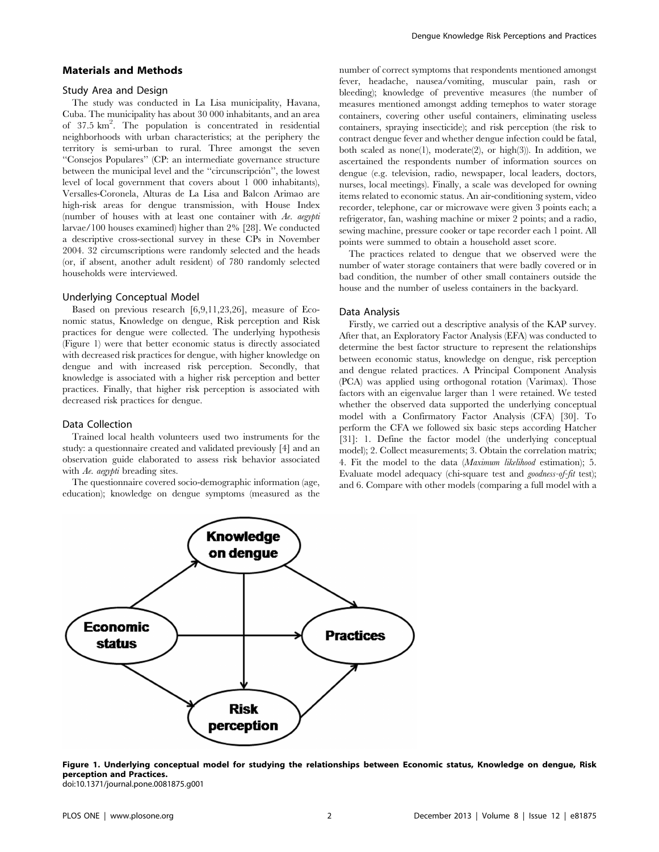#### Materials and Methods

#### Study Area and Design

The study was conducted in La Lisa municipality, Havana, Cuba. The municipality has about 30 000 inhabitants, and an area of 37.5 km2 . The population is concentrated in residential neighborhoods with urban characteristics; at the periphery the territory is semi-urban to rural. Three amongst the seven ''Consejos Populares'' (CP: an intermediate governance structure between the municipal level and the "circunscripción", the lowest level of local government that covers about 1 000 inhabitants), Versalles-Coronela, Alturas de La Lisa and Balcon Arimao are high-risk areas for dengue transmission, with House Index (number of houses with at least one container with Ae. aegypti larvae/100 houses examined) higher than 2% [28]. We conducted a descriptive cross-sectional survey in these CPs in November 2004. 32 circumscriptions were randomly selected and the heads (or, if absent, another adult resident) of 780 randomly selected households were interviewed.

#### Underlying Conceptual Model

Based on previous research [6,9,11,23,26], measure of Economic status, Knowledge on dengue, Risk perception and Risk practices for dengue were collected. The underlying hypothesis (Figure 1) were that better economic status is directly associated with decreased risk practices for dengue, with higher knowledge on dengue and with increased risk perception. Secondly, that knowledge is associated with a higher risk perception and better practices. Finally, that higher risk perception is associated with decreased risk practices for dengue.

#### Data Collection

Trained local health volunteers used two instruments for the study: a questionnaire created and validated previously [4] and an observation guide elaborated to assess risk behavior associated with Ae. aegypti breading sites.

The questionnaire covered socio-demographic information (age, education); knowledge on dengue symptoms (measured as the number of correct symptoms that respondents mentioned amongst fever, headache, nausea/vomiting, muscular pain, rash or bleeding); knowledge of preventive measures (the number of measures mentioned amongst adding temephos to water storage containers, covering other useful containers, eliminating useless containers, spraying insecticide); and risk perception (the risk to contract dengue fever and whether dengue infection could be fatal, both scaled as none(1), moderate(2), or high(3)). In addition, we ascertained the respondents number of information sources on dengue (e.g. television, radio, newspaper, local leaders, doctors, nurses, local meetings). Finally, a scale was developed for owning items related to economic status. An air-conditioning system, video recorder, telephone, car or microwave were given 3 points each; a refrigerator, fan, washing machine or mixer 2 points; and a radio, sewing machine, pressure cooker or tape recorder each 1 point. All points were summed to obtain a household asset score.

The practices related to dengue that we observed were the number of water storage containers that were badly covered or in bad condition, the number of other small containers outside the house and the number of useless containers in the backyard.

#### Data Analysis

Firstly, we carried out a descriptive analysis of the KAP survey. After that, an Exploratory Factor Analysis (EFA) was conducted to determine the best factor structure to represent the relationships between economic status, knowledge on dengue, risk perception and dengue related practices. A Principal Component Analysis (PCA) was applied using orthogonal rotation (Varimax). Those factors with an eigenvalue larger than 1 were retained. We tested whether the observed data supported the underlying conceptual model with a Confirmatory Factor Analysis (CFA) [30]. To perform the CFA we followed six basic steps according Hatcher [31]: 1. Define the factor model (the underlying conceptual model); 2. Collect measurements; 3. Obtain the correlation matrix; 4. Fit the model to the data (Maximum likelihood estimation); 5. Evaluate model adequacy (chi-square test and goodness-of-fit test); and 6. Compare with other models (comparing a full model with a



Figure 1. Underlying conceptual model for studying the relationships between Economic status, Knowledge on dengue, Risk perception and Practices. doi:10.1371/journal.pone.0081875.g001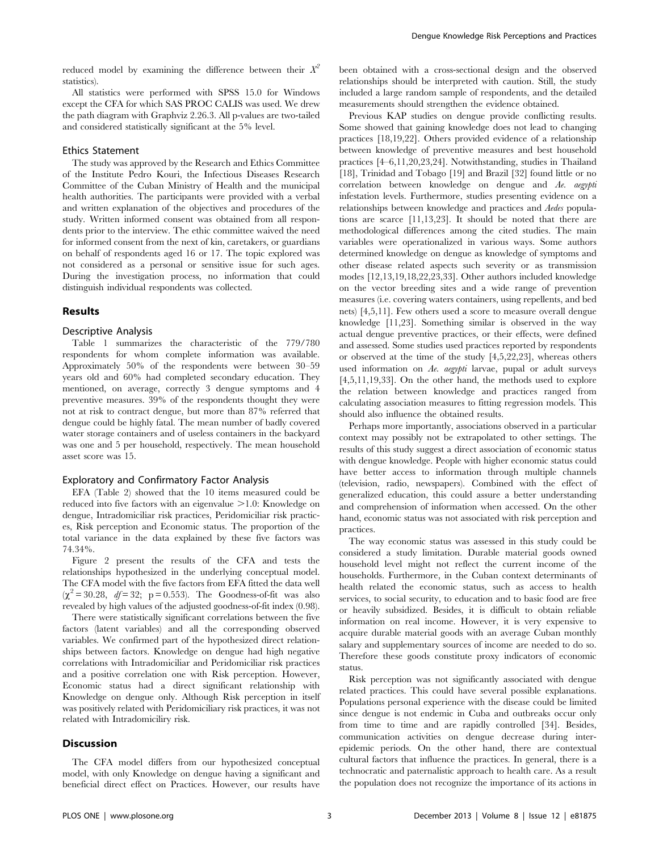reduced model by examining the difference between their  $X^2$ statistics).

All statistics were performed with SPSS 15.0 for Windows except the CFA for which SAS PROC CALIS was used. We drew the path diagram with Graphviz 2.26.3. All p-values are two-tailed and considered statistically significant at the 5% level.

# Ethics Statement

The study was approved by the Research and Ethics Committee of the Institute Pedro Kouri, the Infectious Diseases Research Committee of the Cuban Ministry of Health and the municipal health authorities. The participants were provided with a verbal and written explanation of the objectives and procedures of the study. Written informed consent was obtained from all respondents prior to the interview. The ethic committee waived the need for informed consent from the next of kin, caretakers, or guardians on behalf of respondents aged 16 or 17. The topic explored was not considered as a personal or sensitive issue for such ages. During the investigation process, no information that could distinguish individual respondents was collected.

# Results

#### Descriptive Analysis

Table 1 summarizes the characteristic of the 779/780 respondents for whom complete information was available. Approximately 50% of the respondents were between 30–59 years old and 60% had completed secondary education. They mentioned, on average, correctly 3 dengue symptoms and 4 preventive measures. 39% of the respondents thought they were not at risk to contract dengue, but more than 87% referred that dengue could be highly fatal. The mean number of badly covered water storage containers and of useless containers in the backyard was one and 5 per household, respectively. The mean household asset score was 15.

#### Exploratory and Confirmatory Factor Analysis

EFA (Table 2) showed that the 10 items measured could be reduced into five factors with an eigenvalue  $>1.0$ : Knowledge on dengue, Intradomiciliar risk practices, Peridomiciliar risk practices, Risk perception and Economic status. The proportion of the total variance in the data explained by these five factors was 74.34%.

Figure 2 present the results of the CFA and tests the relationships hypothesized in the underlying conceptual model. The CFA model with the five factors from EFA fitted the data well  $(\chi^2 = 30.28, df = 32; p = 0.553)$ . The Goodness-of-fit was also revealed by high values of the adjusted goodness-of-fit index (0.98).

There were statistically significant correlations between the five factors (latent variables) and all the corresponding observed variables. We confirmed part of the hypothesized direct relationships between factors. Knowledge on dengue had high negative correlations with Intradomiciliar and Peridomiciliar risk practices and a positive correlation one with Risk perception. However, Economic status had a direct significant relationship with Knowledge on dengue only. Although Risk perception in itself was positively related with Peridomiciliary risk practices, it was not related with Intradomiciliry risk.

#### **Discussion**

The CFA model differs from our hypothesized conceptual model, with only Knowledge on dengue having a significant and beneficial direct effect on Practices. However, our results have been obtained with a cross-sectional design and the observed relationships should be interpreted with caution. Still, the study included a large random sample of respondents, and the detailed measurements should strengthen the evidence obtained.

Previous KAP studies on dengue provide conflicting results. Some showed that gaining knowledge does not lead to changing practices [18,19,22]. Others provided evidence of a relationship between knowledge of preventive measures and best household practices [4–6,11,20,23,24]. Notwithstanding, studies in Thailand [18], Trinidad and Tobago [19] and Brazil [32] found little or no correlation between knowledge on dengue and Ae. aegypti infestation levels. Furthermore, studies presenting evidence on a relationships between knowledge and practices and Aedes populations are scarce [11,13,23]. It should be noted that there are methodological differences among the cited studies. The main variables were operationalized in various ways. Some authors determined knowledge on dengue as knowledge of symptoms and other disease related aspects such severity or as transmission modes [12,13,19,18,22,23,33]. Other authors included knowledge on the vector breeding sites and a wide range of prevention measures (i.e. covering waters containers, using repellents, and bed nets) [4,5,11]. Few others used a score to measure overall dengue knowledge [11,23]. Something similar is observed in the way actual dengue preventive practices, or their effects, were defined and assessed. Some studies used practices reported by respondents or observed at the time of the study [4,5,22,23], whereas others used information on  $Ae$ . aegypti larvae, pupal or adult surveys [4,5,11,19,33]. On the other hand, the methods used to explore the relation between knowledge and practices ranged from calculating association measures to fitting regression models. This should also influence the obtained results.

Perhaps more importantly, associations observed in a particular context may possibly not be extrapolated to other settings. The results of this study suggest a direct association of economic status with dengue knowledge. People with higher economic status could have better access to information through multiple channels (television, radio, newspapers). Combined with the effect of generalized education, this could assure a better understanding and comprehension of information when accessed. On the other hand, economic status was not associated with risk perception and practices.

The way economic status was assessed in this study could be considered a study limitation. Durable material goods owned household level might not reflect the current income of the households. Furthermore, in the Cuban context determinants of health related the economic status, such as access to health services, to social security, to education and to basic food are free or heavily subsidized. Besides, it is difficult to obtain reliable information on real income. However, it is very expensive to acquire durable material goods with an average Cuban monthly salary and supplementary sources of income are needed to do so. Therefore these goods constitute proxy indicators of economic status.

Risk perception was not significantly associated with dengue related practices. This could have several possible explanations. Populations personal experience with the disease could be limited since dengue is not endemic in Cuba and outbreaks occur only from time to time and are rapidly controlled [34]. Besides, communication activities on dengue decrease during interepidemic periods. On the other hand, there are contextual cultural factors that influence the practices. In general, there is a technocratic and paternalistic approach to health care. As a result the population does not recognize the importance of its actions in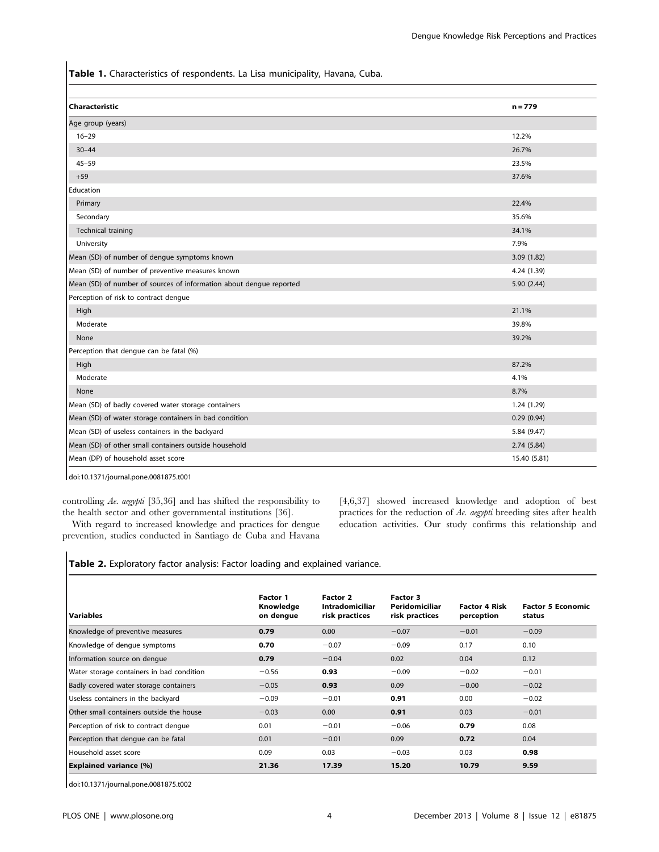Table 1. Characteristics of respondents. La Lisa municipality, Havana, Cuba.

| Characteristic                                                      | $n = 779$    |
|---------------------------------------------------------------------|--------------|
| Age group (years)                                                   |              |
| $16 - 29$                                                           | 12.2%        |
| $30 - 44$                                                           | 26.7%        |
| $45 - 59$                                                           | 23.5%        |
| $+59$                                                               | 37.6%        |
| Education                                                           |              |
| Primary                                                             | 22.4%        |
| Secondary                                                           | 35.6%        |
| Technical training                                                  | 34.1%        |
| University                                                          | 7.9%         |
| Mean (SD) of number of dengue symptoms known                        | 3.09(1.82)   |
| Mean (SD) of number of preventive measures known                    | 4.24 (1.39)  |
| Mean (SD) of number of sources of information about dengue reported | 5.90 (2.44)  |
| Perception of risk to contract dengue                               |              |
| High                                                                | 21.1%        |
| Moderate                                                            | 39.8%        |
| None                                                                | 39.2%        |
| Perception that dengue can be fatal (%)                             |              |
| High                                                                | 87.2%        |
| Moderate                                                            | 4.1%         |
| None                                                                | 8.7%         |
| Mean (SD) of badly covered water storage containers                 | 1.24 (1.29)  |
| Mean (SD) of water storage containers in bad condition              | 0.29(0.94)   |
| Mean (SD) of useless containers in the backyard                     | 5.84 (9.47)  |
| Mean (SD) of other small containers outside household               | 2.74(5.84)   |
| Mean (DP) of household asset score                                  | 15.40 (5.81) |

doi:10.1371/journal.pone.0081875.t001

controlling Ae. aegypti [35,36] and has shifted the responsibility to the health sector and other governmental institutions [36].

With regard to increased knowledge and practices for dengue prevention, studies conducted in Santiago de Cuba and Havana

[4,6,37] showed increased knowledge and adoption of best practices for the reduction of Ae. aegypti breeding sites after health education activities. Our study confirms this relationship and

Table 2. Exploratory factor analysis: Factor loading and explained variance.

| Variables                                 | <b>Factor 1</b><br>Knowledge<br>on dengue | Factor 2<br><b>Intradomiciliar</b><br>risk practices | Factor 3<br>Peridomiciliar<br>risk practices | <b>Factor 4 Risk</b><br>perception | <b>Factor 5 Economic</b><br>status |  |
|-------------------------------------------|-------------------------------------------|------------------------------------------------------|----------------------------------------------|------------------------------------|------------------------------------|--|
| Knowledge of preventive measures          | 0.79                                      | 0.00                                                 | $-0.07$                                      | $-0.01$                            | $-0.09$                            |  |
| Knowledge of dengue symptoms              | 0.70                                      | $-0.07$                                              | $-0.09$                                      | 0.17                               | 0.10                               |  |
| Information source on dengue              | 0.79                                      | $-0.04$                                              | 0.02                                         | 0.04                               | 0.12                               |  |
| Water storage containers in bad condition | $-0.56$                                   | 0.93                                                 | $-0.09$                                      | $-0.02$                            | $-0.01$                            |  |
| Badly covered water storage containers    | $-0.05$                                   | 0.93                                                 | 0.09                                         | $-0.00$                            | $-0.02$                            |  |
| Useless containers in the backyard        | $-0.09$                                   | $-0.01$                                              | 0.91                                         | 0.00                               | $-0.02$                            |  |
| Other small containers outside the house  | $-0.03$                                   | 0.00                                                 | 0.91                                         | 0.03                               | $-0.01$                            |  |
| Perception of risk to contract dengue     | 0.01                                      | $-0.01$                                              | $-0.06$                                      | 0.79                               | 0.08                               |  |
| Perception that dengue can be fatal       | 0.01                                      | $-0.01$                                              | 0.09                                         | 0.72                               | 0.04                               |  |
| Household asset score                     | 0.09                                      | 0.03                                                 | $-0.03$                                      | 0.03                               | 0.98                               |  |
| <b>Explained variance (%)</b>             | 21.36                                     | 17.39                                                | 15.20                                        | 10.79                              | 9.59                               |  |

doi:10.1371/journal.pone.0081875.t002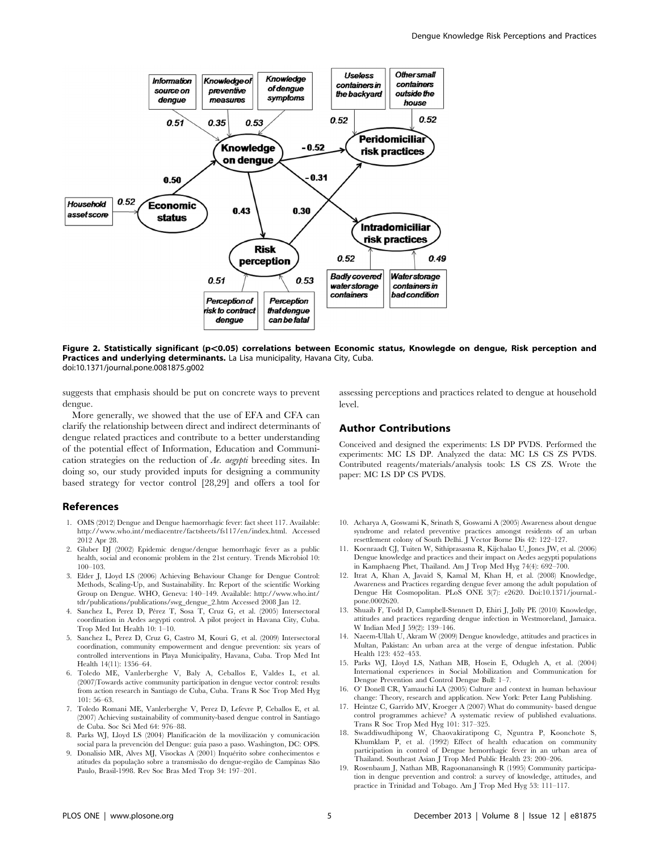

Figure 2. Statistically significant (p<0.05) correlations between Economic status, Knowlegde on dengue, Risk perception and Practices and underlying determinants. La Lisa municipality, Havana City, Cuba. doi:10.1371/journal.pone.0081875.g002

suggests that emphasis should be put on concrete ways to prevent dengue.

More generally, we showed that the use of EFA and CFA can clarify the relationship between direct and indirect determinants of dengue related practices and contribute to a better understanding of the potential effect of Information, Education and Communication strategies on the reduction of Ae. aegypti breeding sites. In doing so, our study provided inputs for designing a community based strategy for vector control [28,29] and offers a tool for

# References

- 1. OMS (2012) Dengue and Dengue haemorrhagic fever: fact sheet 117. Available: http://www.who.int/mediacentre/factsheets/fs117/en/index.html. Accessed 2012 Apr 28.
- 2. Gluber DJ (2002) Epidemic dengue/dengue hemorrhagic fever as a public health, social and economic problem in the 21st century. Trends Microbiol 10: 100–103.
- 3. Elder J, Lloyd LS (2006) Achieving Behaviour Change for Dengue Control: Methods, Scaling-Up, and Sustainability. In: Report of the scientific Working Group on Dengue. WHO, Geneva: 140–149. Available: http://www.who.int/ tdr/publications/publications/swg\_dengue\_2.htm Accessed 2008 Jan 12.
- 4. Sanchez L, Perez D, Pérez T, Sosa T, Cruz G, et al. (2005) Intersectoral coordination in Aedes aegypti control. A pilot project in Havana City, Cuba. Trop Med Int Health 10: 1–10.
- 5. Sanchez L, Perez D, Cruz G, Castro M, Kouri G, et al. (2009) Intersectoral coordination, community empowerment and dengue prevention: six years of controlled interventions in Playa Municipality, Havana, Cuba. Trop Med Int Health 14(11): 1356–64.
- 6. Toledo ME, Vanlerberghe V, Baly A, Ceballos E, Valdes L, et al. (2007)Towards active community participation in dengue vector control: results from action research in Santiago de Cuba, Cuba. Trans R Soc Trop Med Hyg  $101: 56–63.$
- 7. Toledo Romani ME, Vanlerberghe V, Perez D, Lefevre P, Ceballos E, et al. (2007) Achieving sustainability of community-based dengue control in Santiago de Cuba. Soc Sci Med 64: 976–88.
- 8. Parks WJ, Lloyd LS (2004) Planificación de la movilización y comunicación social para la prevención del Dengue: guía paso a paso. Washington, DC: OPS.
- 9. Donalisio MR, Alves MJ, Visockas A (2001) Inquérito sobre conhecimentos e atitudes da população sobre a transmissão do dengue-região de Campinas São Paulo, Brasil-1998. Rev Soc Bras Med Trop 34: 197–201.

assessing perceptions and practices related to dengue at household level.

#### Author Contributions

Conceived and designed the experiments: LS DP PVDS. Performed the experiments: MC LS DP. Analyzed the data: MC LS CS ZS PVDS. Contributed reagents/materials/analysis tools: LS CS ZS. Wrote the paper: MC LS DP CS PVDS.

- 10. Acharya A, Goswami K, Srinath S, Goswami A (2005) Awareness about dengue syndrome and related preventive practices amongst residents of an urban resettlement colony of South Delhi. J Vector Borne Dis 42: 122–127.
- 11. Koenraadt CJ, Tuiten W, Sithiprasasna R, Kijchalao U, Jones JW, et al. (2006) Dengue knowledge and practices and their impact on Aedes aegypti populations in Kamphaeng Phet, Thailand. Am J Trop Med Hyg 74(4): 692–700.
- 12. Itrat A, Khan A, Javaid S, Kamal M, Khan H, et al. (2008) Knowledge, Awareness and Practices regarding dengue fever among the adult population of Dengue Hit Cosmopolitan. PLoS ONE 3(7): e2620. Doi:10.1371/journal. pone.0002620.
- 13. Shuaib F, Todd D, Campbell-Stennett D, Ehiri J, Jolly PE (2010) Knowledge, attitudes and practices regarding dengue infection in Westmoreland, Jamaica. W Indian Med J 59(2): 139–146.
- 14. Naeem-Ullah U, Akram W (2009) Dengue knowledge, attitudes and practices in Multan, Pakistan: An urban area at the verge of dengue infestation. Public Health 123: 452–453.
- 15. Parks WJ, Lloyd LS, Nathan MB, Hosein E, Odugleh A, et al. (2004) International experiences in Social Mobilization and Communication for Dengue Prevention and Control Dengue Bull: 1–7.
- 16. O' Donell CR, Yamauchi LA (2005) Culture and context in human behaviour change: Theory, research and application. New York: Peter Lang Publishing.
- 17. Heintze C, Garrido MV, Kroeger A (2007) What do community- based dengue control programmes achieve? A systematic review of published evaluations. Trans R Soc Trop Med Hyg 101: 317–325.
- 18. Swaddiwudhipong W, Chaovakiratipong C, Nguntra P, Koonchote S, Khumklam P, et al. (1992) Effect of health education on community participation in control of Dengue hemorrhagic fever in an urban area of Thailand. Southeast Asian J Trop Med Public Health 23: 200–206.
- 19. Rosenbaum J, Nathan MB, Ragoonanansingh R (1995) Community participation in dengue prevention and control: a survey of knowledge, attitudes, and practice in Trinidad and Tobago. Am J Trop Med Hyg 53: 111–117.